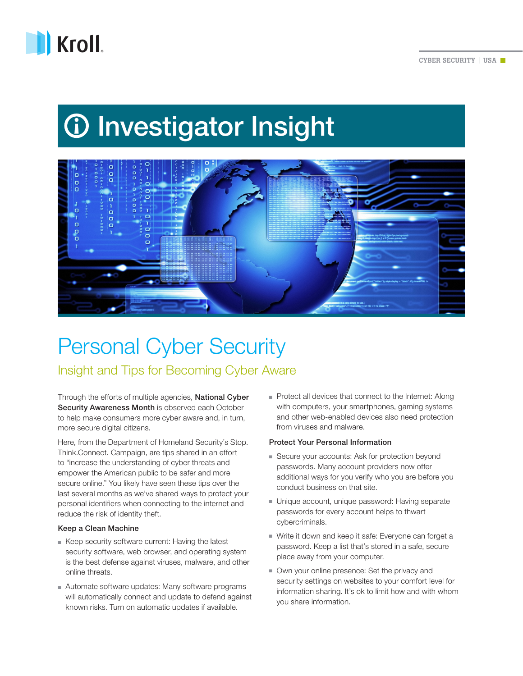

# *<u>O* Investigator Insight</u>



# Personal Cyber Security Insight and Tips for Becoming Cyber Aware

Through the efforts of multiple agencies, National Cyber Security Awareness Month is observed each October to help make consumers more cyber aware and, in turn, more secure digital citizens.

Here, from the Department of Homeland Security's Stop. Think.Connect. Campaign, are tips shared in an effort to "increase the understanding of cyber threats and empower the American public to be safer and more secure online." You likely have seen these tips over the last several months as we've shared ways to protect your personal identifiers when connecting to the internet and reduce the risk of identity theft.

#### Keep a Clean Machine

- Keep security software current: Having the latest security software, web browser, and operating system is the best defense against viruses, malware, and other online threats.
- Automate software updates: Many software programs will automatically connect and update to defend against known risks. Turn on automatic updates if available.

■ Protect all devices that connect to the Internet: Along with computers, your smartphones, gaming systems and other web-enabled devices also need protection from viruses and malware.

# Protect Your Personal Information

- Secure your accounts: Ask for protection beyond passwords. Many account providers now offer additional ways for you verify who you are before you conduct business on that site.
- Unique account, unique password: Having separate passwords for every account helps to thwart cybercriminals.
- Write it down and keep it safe: Everyone can forget a password. Keep a list that's stored in a safe, secure place away from your computer.
- Own your online presence: Set the privacy and security settings on websites to your comfort level for information sharing. It's ok to limit how and with whom you share information.